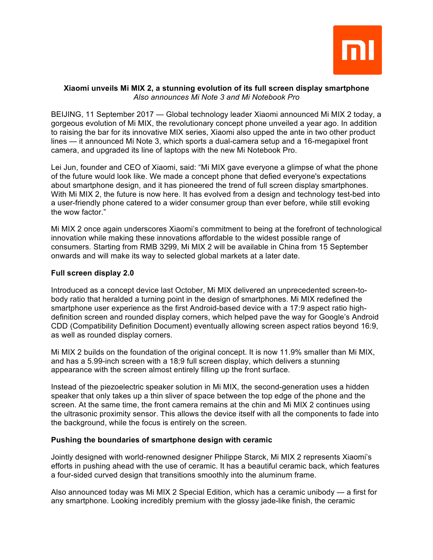

### **Xiaomi unveils Mi MIX 2, a stunning evolution of its full screen display smartphone** *Also announces Mi Note 3 and Mi Notebook Pro*

BEIJING, 11 September 2017 — Global technology leader Xiaomi announced Mi MIX 2 today, a gorgeous evolution of Mi MIX, the revolutionary concept phone unveiled a year ago. In addition to raising the bar for its innovative MIX series, Xiaomi also upped the ante in two other product lines — it announced Mi Note 3, which sports a dual-camera setup and a 16-megapixel front camera, and upgraded its line of laptops with the new Mi Notebook Pro.

Lei Jun, founder and CEO of Xiaomi, said: "Mi MIX gave everyone a glimpse of what the phone of the future would look like. We made a concept phone that defied everyone's expectations about smartphone design, and it has pioneered the trend of full screen display smartphones. With Mi MIX 2, the future is now here. It has evolved from a design and technology test-bed into a user-friendly phone catered to a wider consumer group than ever before, while still evoking the wow factor."

Mi MIX 2 once again underscores Xiaomi's commitment to being at the forefront of technological innovation while making these innovations affordable to the widest possible range of consumers. Starting from RMB 3299, Mi MIX 2 will be available in China from 15 September onwards and will make its way to selected global markets at a later date.

### **Full screen display 2.0**

Introduced as a concept device last October, Mi MIX delivered an unprecedented screen-tobody ratio that heralded a turning point in the design of smartphones. Mi MIX redefined the smartphone user experience as the first Android-based device with a 17:9 aspect ratio highdefinition screen and rounded display corners, which helped pave the way for Google's Android CDD (Compatibility Definition Document) eventually allowing screen aspect ratios beyond 16:9, as well as rounded display corners.

Mi MIX 2 builds on the foundation of the original concept. It is now 11.9% smaller than Mi MIX, and has a 5.99-inch screen with a 18:9 full screen display, which delivers a stunning appearance with the screen almost entirely filling up the front surface.

Instead of the piezoelectric speaker solution in Mi MIX, the second-generation uses a hidden speaker that only takes up a thin sliver of space between the top edge of the phone and the screen. At the same time, the front camera remains at the chin and Mi MIX 2 continues using the ultrasonic proximity sensor. This allows the device itself with all the components to fade into the background, while the focus is entirely on the screen.

# **Pushing the boundaries of smartphone design with ceramic**

Jointly designed with world-renowned designer Philippe Starck, Mi MIX 2 represents Xiaomi's efforts in pushing ahead with the use of ceramic. It has a beautiful ceramic back, which features a four-sided curved design that transitions smoothly into the aluminum frame.

Also announced today was Mi MIX 2 Special Edition, which has a ceramic unibody — a first for any smartphone. Looking incredibly premium with the glossy jade-like finish, the ceramic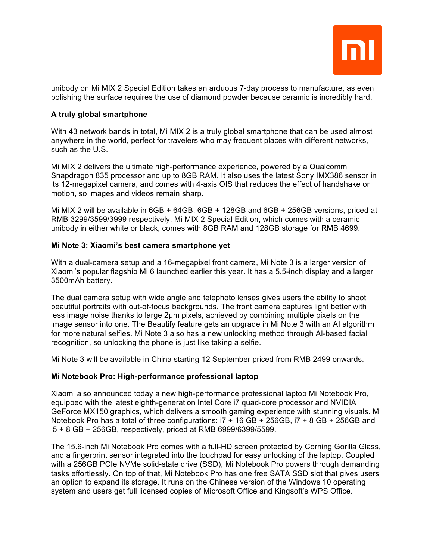

unibody on Mi MIX 2 Special Edition takes an arduous 7-day process to manufacture, as even polishing the surface requires the use of diamond powder because ceramic is incredibly hard.

## **A truly global smartphone**

With 43 network bands in total, Mi MIX 2 is a truly global smartphone that can be used almost anywhere in the world, perfect for travelers who may frequent places with different networks, such as the U.S.

Mi MIX 2 delivers the ultimate high-performance experience, powered by a Qualcomm Snapdragon 835 processor and up to 8GB RAM. It also uses the latest Sony IMX386 sensor in its 12-megapixel camera, and comes with 4-axis OIS that reduces the effect of handshake or motion, so images and videos remain sharp.

Mi MIX 2 will be available in 6GB + 64GB, 6GB + 128GB and 6GB + 256GB versions, priced at RMB 3299/3599/3999 respectively. Mi MIX 2 Special Edition, which comes with a ceramic unibody in either white or black, comes with 8GB RAM and 128GB storage for RMB 4699.

### **Mi Note 3: Xiaomi's best camera smartphone yet**

With a dual-camera setup and a 16-megapixel front camera, Mi Note 3 is a larger version of Xiaomi's popular flagship Mi 6 launched earlier this year. It has a 5.5-inch display and a larger 3500mAh battery.

The dual camera setup with wide angle and telephoto lenses gives users the ability to shoot beautiful portraits with out-of-focus backgrounds. The front camera captures light better with less image noise thanks to large 2µm pixels, achieved by combining multiple pixels on the image sensor into one. The Beautify feature gets an upgrade in Mi Note 3 with an AI algorithm for more natural selfies. Mi Note 3 also has a new unlocking method through AI-based facial recognition, so unlocking the phone is just like taking a selfie.

Mi Note 3 will be available in China starting 12 September priced from RMB 2499 onwards.

### **Mi Notebook Pro: High-performance professional laptop**

Xiaomi also announced today a new high-performance professional laptop Mi Notebook Pro, equipped with the latest eighth-generation Intel Core i7 quad-core processor and NVIDIA GeForce MX150 graphics, which delivers a smooth gaming experience with stunning visuals. Mi Notebook Pro has a total of three configurations: i7 + 16 GB + 256GB, i7 + 8 GB + 256GB and i5 + 8 GB + 256GB, respectively, priced at RMB 6999/6399/5599.

The 15.6-inch Mi Notebook Pro comes with a full-HD screen protected by Corning Gorilla Glass, and a fingerprint sensor integrated into the touchpad for easy unlocking of the laptop. Coupled with a 256GB PCIe NVMe solid-state drive (SSD), Mi Notebook Pro powers through demanding tasks effortlessly. On top of that, Mi Notebook Pro has one free SATA SSD slot that gives users an option to expand its storage. It runs on the Chinese version of the Windows 10 operating system and users get full licensed copies of Microsoft Office and Kingsoft's WPS Office.